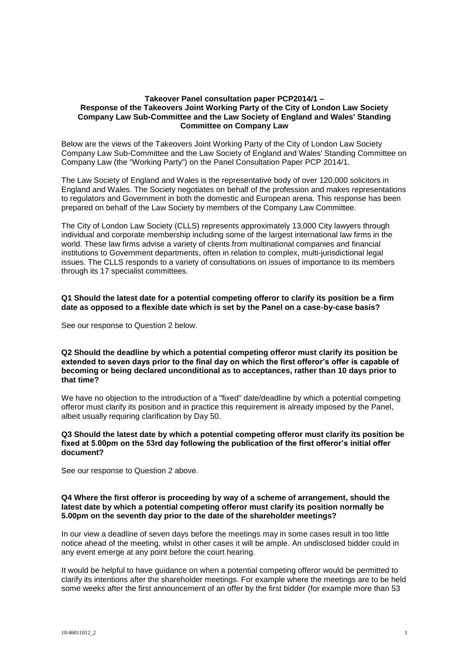### **Takeover Panel consultation paper PCP2014/1 – Response of the Takeovers Joint Working Party of the City of London Law Society Company Law Sub-Committee and the Law Society of England and Wales' Standing Committee on Company Law**

Below are the views of the Takeovers Joint Working Party of the City of London Law Society Company Law Sub-Committee and the Law Society of England and Wales' Standing Committee on Company Law (the "Working Party") on the Panel Consultation Paper PCP 2014/1.

The Law Society of England and Wales is the representative body of over 120,000 solicitors in England and Wales. The Society negotiates on behalf of the profession and makes representations to regulators and Government in both the domestic and European arena. This response has been prepared on behalf of the Law Society by members of the Company Law Committee.

The City of London Law Society (CLLS) represents approximately 13,000 City lawyers through individual and corporate membership including some of the largest international law firms in the world. These law firms advise a variety of clients from multinational companies and financial institutions to Government departments, often in relation to complex, multi-jurisdictional legal issues. The CLLS responds to a variety of consultations on issues of importance to its members through its 17 specialist committees.

## **Q1 Should the latest date for a potential competing offeror to clarify its position be a firm date as opposed to a flexible date which is set by the Panel on a case-by-case basis?**

See our response to Question 2 below.

## **Q2 Should the deadline by which a potential competing offeror must clarify its position be extended to seven days prior to the final day on which the first offeror's offer is capable of becoming or being declared unconditional as to acceptances, rather than 10 days prior to that time?**

We have no objection to the introduction of a "fixed" date/deadline by which a potential competing offeror must clarify its position and in practice this requirement is already imposed by the Panel, albeit usually requiring clarification by Day 50.

## **Q3 Should the latest date by which a potential competing offeror must clarify its position be fixed at 5.00pm on the 53rd day following the publication of the first offeror's initial offer document?**

See our response to Question 2 above.

## **Q4 Where the first offeror is proceeding by way of a scheme of arrangement, should the latest date by which a potential competing offeror must clarify its position normally be 5.00pm on the seventh day prior to the date of the shareholder meetings?**

In our view a deadline of seven days before the meetings may in some cases result in too little notice ahead of the meeting, whilst in other cases it will be ample. An undisclosed bidder could in any event emerge at any point before the court hearing.

It would be helpful to have guidance on when a potential competing offeror would be permitted to clarify its intentions after the shareholder meetings. For example where the meetings are to be held some weeks after the first announcement of an offer by the first bidder (for example more than 53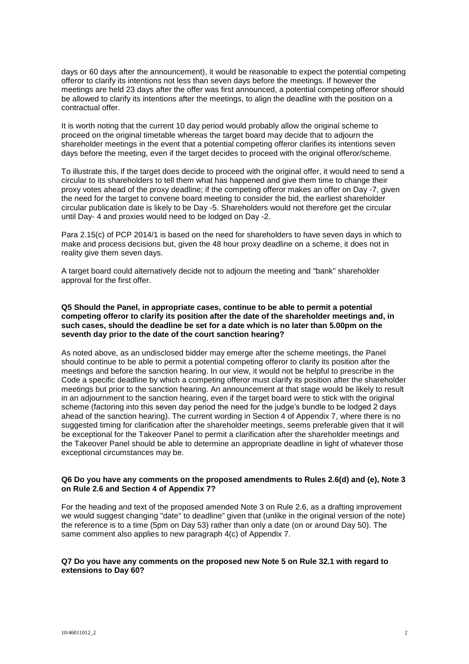days or 60 days after the announcement), it would be reasonable to expect the potential competing offeror to clarify its intentions not less than seven days before the meetings. If however the meetings are held 23 days after the offer was first announced, a potential competing offeror should be allowed to clarify its intentions after the meetings, to align the deadline with the position on a contractual offer.

It is worth noting that the current 10 day period would probably allow the original scheme to proceed on the original timetable whereas the target board may decide that to adjourn the shareholder meetings in the event that a potential competing offeror clarifies its intentions seven days before the meeting, even if the target decides to proceed with the original offeror/scheme.

To illustrate this, if the target does decide to proceed with the original offer, it would need to send a circular to its shareholders to tell them what has happened and give them time to change their proxy votes ahead of the proxy deadline; if the competing offeror makes an offer on Day -7, given the need for the target to convene board meeting to consider the bid, the earliest shareholder circular publication date is likely to be Day -5. Shareholders would not therefore get the circular until Day- 4 and proxies would need to be lodged on Day -2.

Para 2.15(c) of PCP 2014/1 is based on the need for shareholders to have seven days in which to make and process decisions but, given the 48 hour proxy deadline on a scheme, it does not in reality give them seven days.

A target board could alternatively decide not to adjourn the meeting and "bank" shareholder approval for the first offer.

**Q5 Should the Panel, in appropriate cases, continue to be able to permit a potential competing offeror to clarify its position after the date of the shareholder meetings and, in such cases, should the deadline be set for a date which is no later than 5.00pm on the seventh day prior to the date of the court sanction hearing?**

As noted above, as an undisclosed bidder may emerge after the scheme meetings, the Panel should continue to be able to permit a potential competing offeror to clarify its position after the meetings and before the sanction hearing. In our view, it would not be helpful to prescribe in the Code a specific deadline by which a competing offeror must clarify its position after the shareholder meetings but prior to the sanction hearing. An announcement at that stage would be likely to result in an adjournment to the sanction hearing, even if the target board were to stick with the original scheme (factoring into this seven day period the need for the judge's bundle to be lodged 2 days ahead of the sanction hearing). The current wording in Section 4 of Appendix 7, where there is no suggested timing for clarification after the shareholder meetings, seems preferable given that it will be exceptional for the Takeover Panel to permit a clarification after the shareholder meetings and the Takeover Panel should be able to determine an appropriate deadline in light of whatever those exceptional circumstances may be.

## **Q6 Do you have any comments on the proposed amendments to Rules 2.6(d) and (e), Note 3 on Rule 2.6 and Section 4 of Appendix 7?**

For the heading and text of the proposed amended Note 3 on Rule 2.6, as a drafting improvement we would suggest changing "date" to deadline" given that (unlike in the original version of the note) the reference is to a time (5pm on Day 53) rather than only a date (on or around Day 50). The same comment also applies to new paragraph 4(c) of Appendix 7.

## **Q7 Do you have any comments on the proposed new Note 5 on Rule 32.1 with regard to extensions to Day 60?**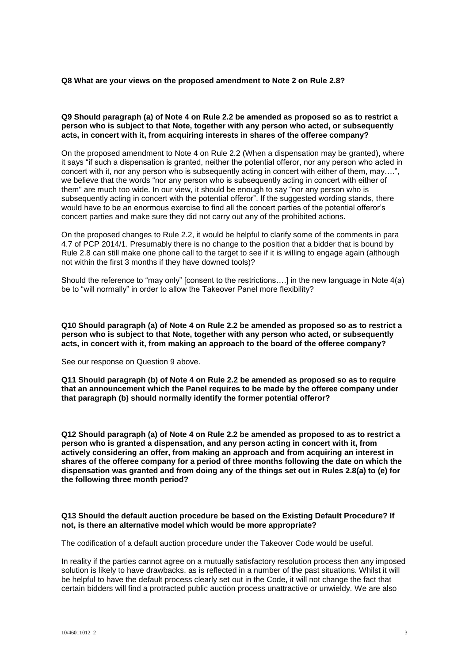## **Q8 What are your views on the proposed amendment to Note 2 on Rule 2.8?**

## **Q9 Should paragraph (a) of Note 4 on Rule 2.2 be amended as proposed so as to restrict a person who is subject to that Note, together with any person who acted, or subsequently acts, in concert with it, from acquiring interests in shares of the offeree company?**

On the proposed amendment to Note 4 on Rule 2.2 (When a dispensation may be granted), where it says "if such a dispensation is granted, neither the potential offeror, nor any person who acted in concert with it, nor any person who is subsequently acting in concert with either of them, may….", we believe that the words "nor any person who is subsequently acting in concert with either of them" are much too wide. In our view, it should be enough to say "nor any person who is subsequently acting in concert with the potential offeror". If the suggested wording stands, there would have to be an enormous exercise to find all the concert parties of the potential offeror's concert parties and make sure they did not carry out any of the prohibited actions.

On the proposed changes to Rule 2.2, it would be helpful to clarify some of the comments in para 4.7 of PCP 2014/1. Presumably there is no change to the position that a bidder that is bound by Rule 2.8 can still make one phone call to the target to see if it is willing to engage again (although not within the first 3 months if they have downed tools)?

Should the reference to "may only" [consent to the restrictions….] in the new language in Note 4(a) be to "will normally" in order to allow the Takeover Panel more flexibility?

**Q10 Should paragraph (a) of Note 4 on Rule 2.2 be amended as proposed so as to restrict a person who is subject to that Note, together with any person who acted, or subsequently acts, in concert with it, from making an approach to the board of the offeree company?**

See our response on Question 9 above.

**Q11 Should paragraph (b) of Note 4 on Rule 2.2 be amended as proposed so as to require that an announcement which the Panel requires to be made by the offeree company under that paragraph (b) should normally identify the former potential offeror?** 

**Q12 Should paragraph (a) of Note 4 on Rule 2.2 be amended as proposed to as to restrict a person who is granted a dispensation, and any person acting in concert with it, from actively considering an offer, from making an approach and from acquiring an interest in shares of the offeree company for a period of three months following the date on which the dispensation was granted and from doing any of the things set out in Rules 2.8(a) to (e) for the following three month period?** 

## **Q13 Should the default auction procedure be based on the Existing Default Procedure? If not, is there an alternative model which would be more appropriate?**

The codification of a default auction procedure under the Takeover Code would be useful.

In reality if the parties cannot agree on a mutually satisfactory resolution process then any imposed solution is likely to have drawbacks, as is reflected in a number of the past situations. Whilst it will be helpful to have the default process clearly set out in the Code, it will not change the fact that certain bidders will find a protracted public auction process unattractive or unwieldy. We are also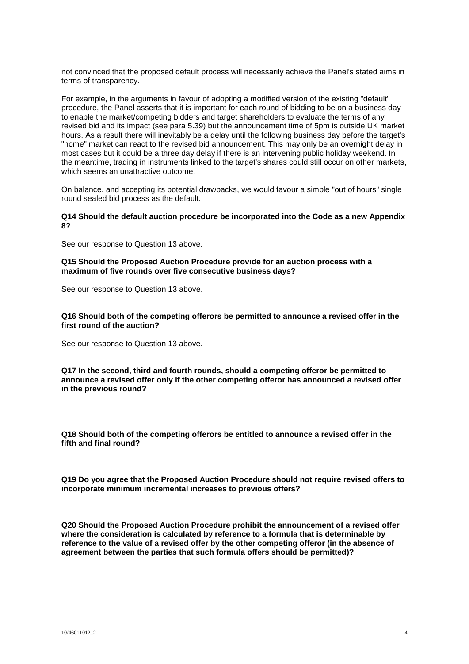not convinced that the proposed default process will necessarily achieve the Panel's stated aims in terms of transparency.

For example, in the arguments in favour of adopting a modified version of the existing "default" procedure, the Panel asserts that it is important for each round of bidding to be on a business day to enable the market/competing bidders and target shareholders to evaluate the terms of any revised bid and its impact (see para 5.39) but the announcement time of 5pm is outside UK market hours. As a result there will inevitably be a delay until the following business day before the target's "home" market can react to the revised bid announcement. This may only be an overnight delay in most cases but it could be a three day delay if there is an intervening public holiday weekend. In the meantime, trading in instruments linked to the target's shares could still occur on other markets, which seems an unattractive outcome.

On balance, and accepting its potential drawbacks, we would favour a simple "out of hours" single round sealed bid process as the default.

## **Q14 Should the default auction procedure be incorporated into the Code as a new Appendix 8?**

See our response to Question 13 above.

**Q15 Should the Proposed Auction Procedure provide for an auction process with a maximum of five rounds over five consecutive business days?** 

See our response to Question 13 above.

**Q16 Should both of the competing offerors be permitted to announce a revised offer in the first round of the auction?** 

See our response to Question 13 above.

**Q17 In the second, third and fourth rounds, should a competing offeror be permitted to announce a revised offer only if the other competing offeror has announced a revised offer in the previous round?** 

**Q18 Should both of the competing offerors be entitled to announce a revised offer in the fifth and final round?** 

**Q19 Do you agree that the Proposed Auction Procedure should not require revised offers to incorporate minimum incremental increases to previous offers?** 

**Q20 Should the Proposed Auction Procedure prohibit the announcement of a revised offer where the consideration is calculated by reference to a formula that is determinable by reference to the value of a revised offer by the other competing offeror (in the absence of agreement between the parties that such formula offers should be permitted)?**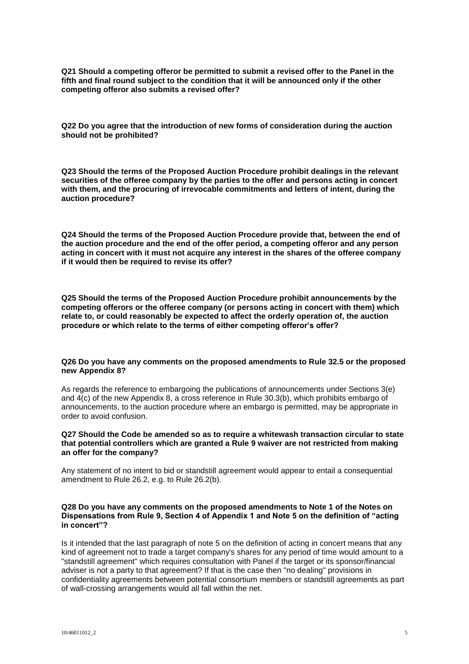**Q21 Should a competing offeror be permitted to submit a revised offer to the Panel in the fifth and final round subject to the condition that it will be announced only if the other competing offeror also submits a revised offer?**

**Q22 Do you agree that the introduction of new forms of consideration during the auction should not be prohibited?** 

**Q23 Should the terms of the Proposed Auction Procedure prohibit dealings in the relevant securities of the offeree company by the parties to the offer and persons acting in concert with them, and the procuring of irrevocable commitments and letters of intent, during the auction procedure?** 

**Q24 Should the terms of the Proposed Auction Procedure provide that, between the end of the auction procedure and the end of the offer period, a competing offeror and any person acting in concert with it must not acquire any interest in the shares of the offeree company if it would then be required to revise its offer?** 

**Q25 Should the terms of the Proposed Auction Procedure prohibit announcements by the competing offerors or the offeree company (or persons acting in concert with them) which relate to, or could reasonably be expected to affect the orderly operation of, the auction procedure or which relate to the terms of either competing offeror's offer?** 

## **Q26 Do you have any comments on the proposed amendments to Rule 32.5 or the proposed new Appendix 8?**

As regards the reference to embargoing the publications of announcements under Sections 3(e) and 4(c) of the new Appendix 8, a cross reference in Rule 30.3(b), which prohibits embargo of announcements, to the auction procedure where an embargo is permitted, may be appropriate in order to avoid confusion.

#### **Q27 Should the Code be amended so as to require a whitewash transaction circular to state that potential controllers which are granted a Rule 9 waiver are not restricted from making an offer for the company?**

Any statement of no intent to bid or standstill agreement would appear to entail a consequential amendment to Rule 26.2, e.g. to Rule 26.2(b).

## **Q28 Do you have any comments on the proposed amendments to Note 1 of the Notes on Dispensations from Rule 9, Section 4 of Appendix 1 and Note 5 on the definition of "acting in concert"?**

Is it intended that the last paragraph of note 5 on the definition of acting in concert means that any kind of agreement not to trade a target company's shares for any period of time would amount to a "standstill agreement" which requires consultation with Panel if the target or its sponsor/financial adviser is not a party to that agreement? If that is the case then "no dealing" provisions in confidentiality agreements between potential consortium members or standstill agreements as part of wall-crossing arrangements would all fall within the net.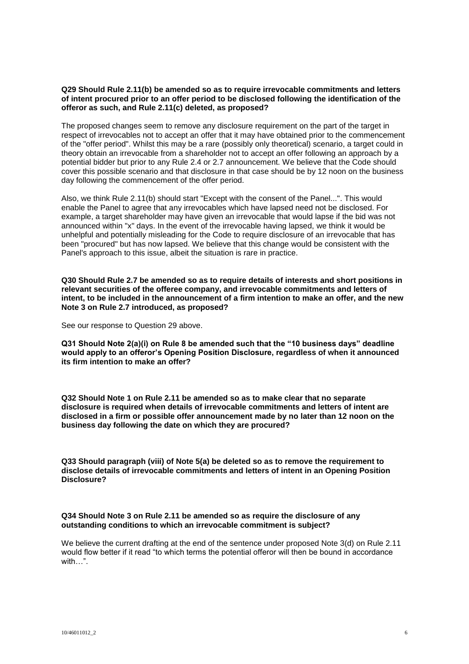## **Q29 Should Rule 2.11(b) be amended so as to require irrevocable commitments and letters of intent procured prior to an offer period to be disclosed following the identification of the offeror as such, and Rule 2.11(c) deleted, as proposed?**

The proposed changes seem to remove any disclosure requirement on the part of the target in respect of irrevocables not to accept an offer that it may have obtained prior to the commencement of the "offer period". Whilst this may be a rare (possibly only theoretical) scenario, a target could in theory obtain an irrevocable from a shareholder not to accept an offer following an approach by a potential bidder but prior to any Rule 2.4 or 2.7 announcement. We believe that the Code should cover this possible scenario and that disclosure in that case should be by 12 noon on the business day following the commencement of the offer period.

Also, we think Rule 2.11(b) should start "Except with the consent of the Panel...". This would enable the Panel to agree that any irrevocables which have lapsed need not be disclosed. For example, a target shareholder may have given an irrevocable that would lapse if the bid was not announced within "x" days. In the event of the irrevocable having lapsed, we think it would be unhelpful and potentially misleading for the Code to require disclosure of an irrevocable that has been "procured" but has now lapsed. We believe that this change would be consistent with the Panel's approach to this issue, albeit the situation is rare in practice.

**Q30 Should Rule 2.7 be amended so as to require details of interests and short positions in relevant securities of the offeree company, and irrevocable commitments and letters of intent, to be included in the announcement of a firm intention to make an offer, and the new Note 3 on Rule 2.7 introduced, as proposed?** 

See our response to Question 29 above.

**Q31 Should Note 2(a)(i) on Rule 8 be amended such that the "10 business days" deadline would apply to an offeror's Opening Position Disclosure, regardless of when it announced its firm intention to make an offer?**

**Q32 Should Note 1 on Rule 2.11 be amended so as to make clear that no separate disclosure is required when details of irrevocable commitments and letters of intent are disclosed in a firm or possible offer announcement made by no later than 12 noon on the business day following the date on which they are procured?** 

**Q33 Should paragraph (viii) of Note 5(a) be deleted so as to remove the requirement to disclose details of irrevocable commitments and letters of intent in an Opening Position Disclosure?** 

# **Q34 Should Note 3 on Rule 2.11 be amended so as require the disclosure of any outstanding conditions to which an irrevocable commitment is subject?**

We believe the current drafting at the end of the sentence under proposed Note 3(d) on Rule 2.11 would flow better if it read "to which terms the potential offeror will then be bound in accordance with…".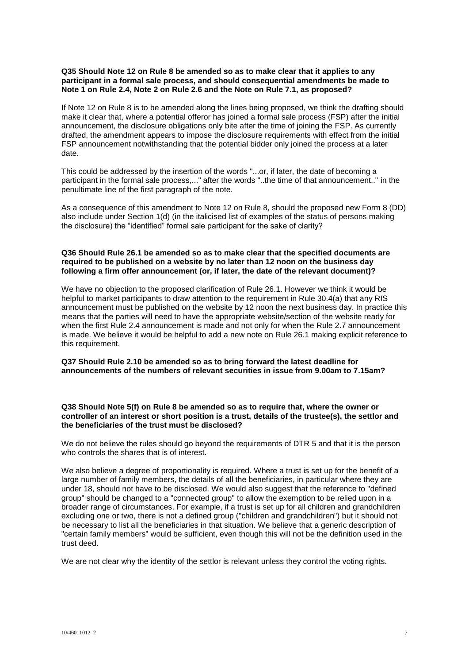### **Q35 Should Note 12 on Rule 8 be amended so as to make clear that it applies to any participant in a formal sale process, and should consequential amendments be made to Note 1 on Rule 2.4, Note 2 on Rule 2.6 and the Note on Rule 7.1, as proposed?**

If Note 12 on Rule 8 is to be amended along the lines being proposed, we think the drafting should make it clear that, where a potential offeror has joined a formal sale process (FSP) after the initial announcement, the disclosure obligations only bite after the time of joining the FSP. As currently drafted, the amendment appears to impose the disclosure requirements with effect from the initial FSP announcement notwithstanding that the potential bidder only joined the process at a later date.

This could be addressed by the insertion of the words "...or, if later, the date of becoming a participant in the formal sale process,..." after the words "..the time of that announcement.." in the penultimate line of the first paragraph of the note.

As a consequence of this amendment to Note 12 on Rule 8, should the proposed new Form 8 (DD) also include under Section 1(d) (in the italicised list of examples of the status of persons making the disclosure) the "identified" formal sale participant for the sake of clarity?

## **Q36 Should Rule 26.1 be amended so as to make clear that the specified documents are required to be published on a website by no later than 12 noon on the business day following a firm offer announcement (or, if later, the date of the relevant document)?**

We have no objection to the proposed clarification of Rule 26.1. However we think it would be helpful to market participants to draw attention to the requirement in Rule 30.4(a) that any RIS announcement must be published on the website by 12 noon the next business day. In practice this means that the parties will need to have the appropriate website/section of the website ready for when the first Rule 2.4 announcement is made and not only for when the Rule 2.7 announcement is made. We believe it would be helpful to add a new note on Rule 26.1 making explicit reference to this requirement.

# **Q37 Should Rule 2.10 be amended so as to bring forward the latest deadline for announcements of the numbers of relevant securities in issue from 9.00am to 7.15am?**

## **Q38 Should Note 5(f) on Rule 8 be amended so as to require that, where the owner or controller of an interest or short position is a trust, details of the trustee(s), the settlor and the beneficiaries of the trust must be disclosed?**

We do not believe the rules should go beyond the requirements of DTR 5 and that it is the person who controls the shares that is of interest.

We also believe a degree of proportionality is required. Where a trust is set up for the benefit of a large number of family members, the details of all the beneficiaries, in particular where they are under 18, should not have to be disclosed. We would also suggest that the reference to "defined group" should be changed to a "connected group" to allow the exemption to be relied upon in a broader range of circumstances. For example, if a trust is set up for all children and grandchildren excluding one or two, there is not a defined group ("children and grandchildren") but it should not be necessary to list all the beneficiaries in that situation. We believe that a generic description of "certain family members" would be sufficient, even though this will not be the definition used in the trust deed.

We are not clear why the identity of the settlor is relevant unless they control the voting rights.